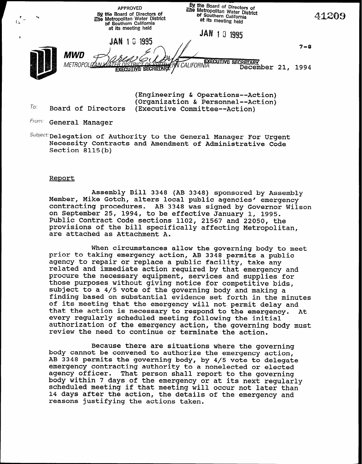by the Board of Directors of APPROVED titue Metropolitan Water District By the Board of Directors of of Southern California 41209  $\mathbf{r}$   $\mathbf{r}$   $\mathbf{r}$ The Metropolitan Water Distric at its meeting held  $t_{\infty}$  .  $\tau$ of Southern Californi at its meeting held **JAN 10 1995** JAN 10 1995 7-8 MWD METROPOLIZAN MATER DISTRICT OF COLLECT OR CALIFORNIA<br>EXECUTIVE SECRETARY PACALIFORNIA December 21, 1994

(Engineering & Operations--Action) (Organization & Personnel--Action) Board of Directors (Executive Committee--Action)

To:

from: General Manager

 $\textit{Subject:}$  Delegation of Authority to the General Manager For Urgent Necessity Contracts and Amendment of Administrative Code Section 8115(b)

### Report

Assembly Bill 3348 (AB 3348) sponsored by Assembly Member, Mike Gotch, alters local public agencies' emergency contracting procedures. AB 3348 was signed by Governor Wilson on September 25, 1994, to be effective January 1, 1995. Public Contract Code sections 1102, 21567 and 22050, the provisions of the bill specifically affecting Metropolitan, are attached as Attachment A.

When circumstances allow the governing body to meet prior to taking emergency action, AB 3348 permits a public agency to repair or replace a public facility, take any related and immediate action required by that emergency and procure the necessary equipment, services and supplies for those purposes without giving notice for competitive bids, subject to a 4/5 vote of the governing body and making a finding based on substantial evidence set forth in the minutes of its meeting that the emergency will not permit delay and that the action is necessary to respond to the emergency. At every regularly scheduled meeting following the initial authorization of the emergency action, the governing body must review the need to continue or terminate the action.

Because there are situations where the governing body cannot be convened to authorize the emergency action, AB 3348 permits the governing body, by 4/5 vote to delegate emergency contracting authority to a nonelected or elected agency officer. That person shall report to the governing body within 7 days of the emergency or at its next regularly scheduled meeting if that meeting will occur not later than 14 days after the action, the details of the emergency and reasons justifying the actions taken.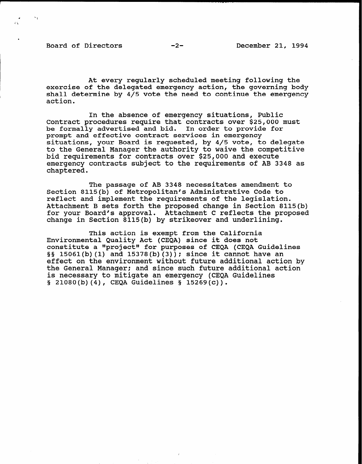Board of Directors -2-<br>
-2-<br>
December 21, 1994

At every regularly scheduled meeting following the exercise of the delegated emergency action, the governing body shall determine by 4/5 vote the need to continue the emergency action.

In the absence of emergency situations, Public Contract procedures require that contracts over \$25,000 must be formally advertised and bid. In order to provide for prompt and effective contract services in emergency situations, your Board is requested, by 4/5 vote, to delegate to the General Manager the authority to waive the competitive bid requirements for contracts over \$25,000 and execute emergency contracts subject to the requirements of AB 3348 as chaptered.

The passage of AB 3348 necessitates amendment to Section 8115(b) of Metropolitan's Administrative Code to reflect and implement the requirements of the legislation. Attachment B sets forth the proposed change in Section 8115(b) for your Board's approval. Attachment C reflects the proposed change in Section 8115(b) by strikeover and underlining.

This action is exempt from the California Environmental Quality Act (CEQA) since it does not constitute a "project" for purposes of CEQA (CEQA Guidelines §§ 15061(b)(1) and 15378(b)(3)); since it cannot have an effect on the environment without future additional action by the General Manager; and since such future additional action is necessary to mitigate an emergency (CEQA Guidelines  $\S$  21080(b)(4), CEQA Guidelines  $\S$  15269(c)).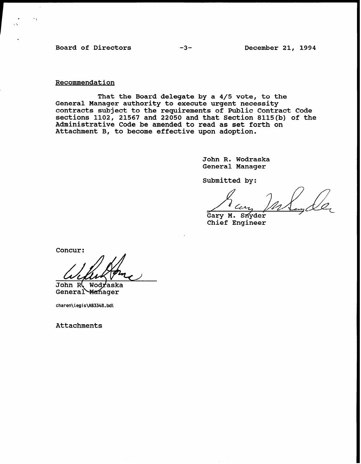Board of Directors -3-<br>
-3-<br>
December 21, 1994

Recommendation

That the Board delegate by a 4/5 vote, to the General Manager authority to execute urgent necessity contracts subject to the requirements of Public Contract Code sections 1102, 21567 and 22050 and that Section 8115(b) of the Administrative Code be amended to read as set forth on Attachment B, to become effective upon adoption.

> John R. Wodraska General Manager

Submitted by:

Gary M. Snyder Chief Engineer

Concur:

John R, Wodraska General Manager

charen\legis\AB3348.bdl

Attachments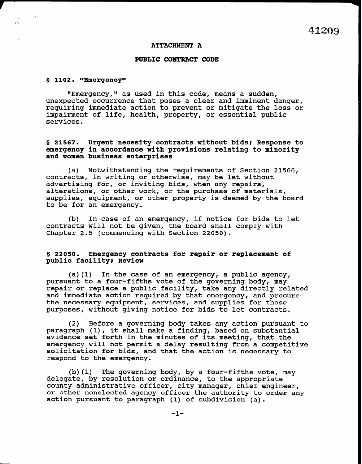#### ATTACHMENT A

#### PUBLIC CONTRACT CODE

#### $$ 1102.$  "Emergency"

a \* 1

 $\mathcal{N}_\mathrm{c}$ 

"Emergency," as used in this code, means a sudden, unexpected occurrence that poses a clear and imminent danger, requiring immediate action to prevent or mitigate the loss or impairment of life, health, property, or essential public services.

§ 21567. Urgent necesity contracts without bids: Response to emergency in accordance with provisions relating to minority and women business enterprises

(a) Notwithstanding the requirements of Section 21566, contracts, in writing or otherwise, may be let without advertising for, or inviting bids, when any repairs, alterations, or other work, or the purchase of materials, supplies, equipment, or other property is deemed by the board to be for an emergency.

(b) In case of an emergency, if notice for bids to let contracts will not be given, the board shall comply with Chapter 2.5 (commencing with Section 22050).

## 5 22050. Emergency contracts for repair or replacement of public facility; Review

(a)(l) In the case of an emergency, a public agency, pursuant to a four-fifths vote of the governing body, may repair or replace a public facility, take any directly related and immediate action required by that emergency, and procure the necessary equipment, services, and supplies for those purposes, without giving notice for bids to let contracts.

(2) Before a governing body takes any action pursuant to paragraph (1), it shall make a finding, based on substantial evidence set forth in the minutes of its meeting, that the emergency will not permit a delay resulting from a competitive solicitation for bids, and that the action is necessary to respond to the emergency.

(b)(l) The governing body, by a four-fifths vote, may delegate, by resolution or ordinance, to the appropriate county administrative officer, city manager, chief engineer, or other nonelected agency officer the authority to order any action pursuant to paragraph (1) of subdivision (a).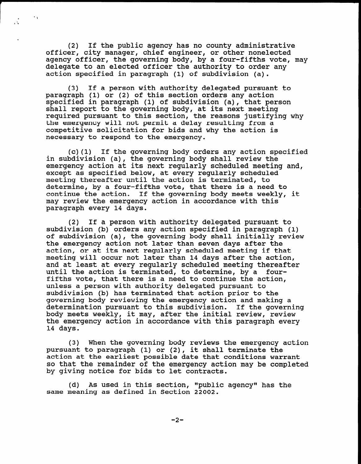(2) If the public agency has no county administrative officer, city manager, chief engineer, or other nonelected agency officer, the governing body, by a four-fifths vote, may delegate to an elected officer the authority to order any action specified in paragraph (1) of subdivision (a).

 $\ddot{\phantom{1}}$ 

 $\frac{1}{2}$ 

(3) If a person with authority delegated pursuant to paragraph (1) or (2) of this section orders any action specified in paragraph (1) of subdivision (a), that person shall report to the governing body, at its next meeting required pursuant to this section, the reasons justifying why the emergency will not permit a delay resulting from a competitive solicitation for bids and why the action is necessary to respond to the emergency.

(c)(l) If the governing body orders any action specified in subdivision (a), the governing body shall review the emergency action at its next regularly scheduled meeting and, except as specified below, at every regularly scheduled meeting thereafter until the action is terminated, to determine, by a four-fifths vote, that there is a need to continue the action. If the governing body meets weekly, it may review the emergency action in accordance with this paragraph every 14 days.

(2) If a person with authority delegated pursuant to subdivision (b) orders any action specified in paragraph (1) of subdivision (a), the governing body shall initially review the emergency action not later than seven days after the action, or at its next regularly scheduled meeting if the action, or at its next regularly scheduled meeting if that meeting will occur not later than 14 days after the action, and at least at every regularly scheduled meeting thereafter until the action is terminated, to determine, by a fourfifths vote, that there is a need to continue the action, unless a person with authority delegated pursuant to subdivision (b) has terminated that action prior to the governing body reviewing the emergency action and making a determination pursuant to this subdivision. If the governing body meets weekly, it may, after the initial review, review the emergency action in accordance with this paragraph every 14 days.

(3) When the governing body reviews the governing body reviews the emergency action  $\mathcal{L}_{\mathcal{A}}$ (3) When the governing body reviews the emergency pursuant to paragraph (1) or (2), it shall terminate the action at the earliest possible date that conditions warrant so that the remainder of the emergency action may be completed<br>by giving notice for bids to let contracts.

(d) As used in this section, "public agency" has the same meaning as defined in Section 22002.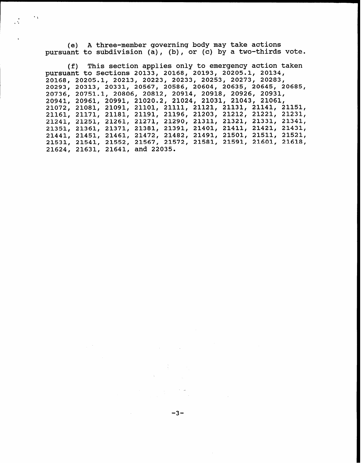(e) A three-member governing body may take actions pursuant to subdivision (a), (b), or (c) by a two-thirds vote.

 $\ddot{\phantom{1}}$ 

(f) This section applies only to emergency action taken pursuant to Sections 20133, 20168, 20193, 20205.1, 20134, 20168, 20205.1, 20213, 20223, 20233, 20253, 20273, 20283, 20293, 20313, 20331, 20567, 20586, 20604, 20635, 20645, 20685, 20736, 20751.1, 20806, 20812, 20914, 20918, 20926, 20931, 20941, 20961, 20991, 21020.2, 21024, 21031, 21043, 21061, 21072, 21081, 21091, 21101, 21111, 21121, 21131, 21141, 21151, 21161, 21171, 21181, 21191, 21196, 21203, 21212, 21221, 21231, 21241, 21251, 21261, 21271, 21290, 21311, 21321, 21331, 21341, 21351, 21361, 21371, 21381, 21391, 21401, 21411, 21421, 21431, 21441, 21451, 21461, 21472, 21482, 21491, 21501, 21511, 21521, 21531, 21541, 21552, 21567, 21572, 21581, 21591, 21601, 21618, 21624, 21631, 21641, and 22035.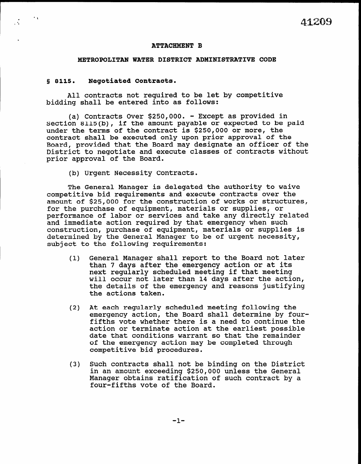#### ATTACHMENT B

#### METROPOLITAN WATER DISTRICT ADMINISTRATIVE CODE

### 5 8115. Negotiated Contracts.

.

.

All contracts not required to be let by competitive bidding shall be entered into as follows:

(a) Contracts Over \$250,000. - Except as provided in Section 8115(b), if the amount payable or expected to be paid under the terms of the contract is \$250,000 or more, the contract shall be executed only upon prior approval of the Board, provided that the Board may designate an officer of the District to negotiate and execute classes of contracts without prior approval of the Board.

(b) Urgent Necessity Contracts.

The General Manager is delegated the authority to waive competitive bid requirements and execute contracts over the amount of \$25,000 for the construction of works or structures, for the purchase of equipment, materials or supplies, or performance of labor or services and take any directly related periormance or fabor or services and cake any directly reperiormance or fabor or services and construction, purchase of equipment, materials or supplies is construction, purchase of equipment, materials or supplies is<br>determined by the General Manager to be of urgent necessity, subject to the following requirements:

- (1) General Manager shall report to the Board not later than 7 days after the emergency action or at its than 7 days after the emergency action or at ft will cannot act later than 14 days after the action will occur not later than 14 days after the acti the details of the emergency and reasons justifying<br>the actions taken.
- (2) At each regularly scheduled meeting following the following the scheduled meeting following the scheduled meeting the scheduled meeting the scheduled meeting the scheduled meeting the scheduled meeting the scheduled m at each regularly scheduled meeting following the emergency action, the Board shall determine by fourfifths vote whether there is a need to continue the action or terminate action at the earliest possible date that conditions warrant so that the remainder of the emergency action may be completed through competitive bid procedures.
- $\mathcal{S}$  Such contracts shall not be binding  $\mathcal{S}$  and  $\mathcal{S}$ Such contracts shall not be binding on the Distri in an amount exceeding \$250,000 unless the General Manager obtains ratification of such contract by a four-fifths vote of the Board.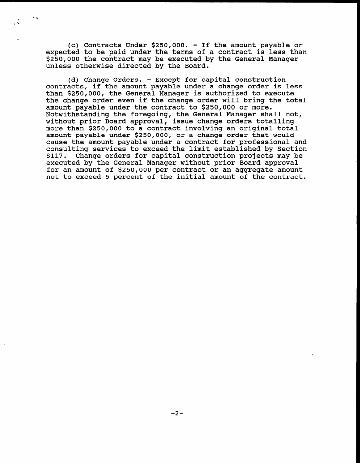(c) Contracts Under \$250,000. - If the amount payable or expected to be paid under the terms of a contract is less than \$250,000 the contract may be executed by the General Manager unless otherwise directed by the Board.

\* a

 $\ddot{\phantom{a}}$ 

(d) Change Orders. - Except for capital construction contracts, if the amount payable under a change order is less than \$250,000, the General Manager is authorized to execute the change order even if the change order will bring the total amount payable under the contract to \$250,000 or more. Notwithstanding the foregoing, the General Manager shall not, without prior Board approval, issue change orders totall more than \$250,000 to a contract involving an original total amount payable under \$250,000, or a change order that would cause the amount payable under a contract for professional and consulting services to exceed the limit established by Section 8117. Change orders for capital construction projects may be executed by the General Manager without prior Board approval for an amount of \$250,000 per contract or an aggregate amount not to exceed 5 percent of the initial amount of the contract.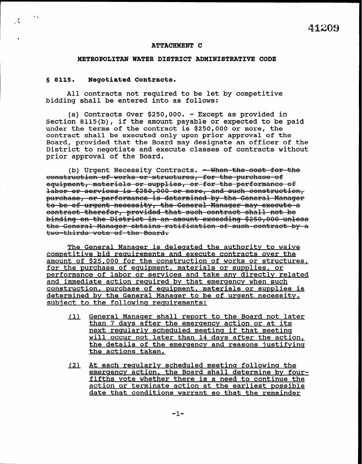## ATTACHMENT C

# METROPOLITAN WATER DISTRICT ADMINISTRATIVE CODE

#### 5 8115. Negotiated Contracts.

 $\mathbf{v}$  .

 $\mathcal{L}$ 

All contracts not required to be let by competitive bidding shall be entered into as follows:

(a) Contracts Over \$250,000. - Except as provided in Section 8115(b), if the amount payable or expected to be paid under the terms of the contract is \$250,000 or more, the contract shall be executed only upon prior approval of the Board, provided that the Board may designate an officer of the District to negotiate and execute classes of contracts without prior approval of the Board.

(b) Urgent Necessity Contracts. - When the cost for the construction of works-or-structures, for the purchase-of equipment, materials or supplies, or for-the-performance of labor or services is \$250,000 or more, and such construction, purchase, or performance is determined by the General Manager to be of urgent necessity, the General Manager may execute a contract therefor, provided that such contract shall not be binding on the District in an amount exceeding \$250,000 unless<br>the General Manager obtains ratification of such contract by a<br>two-thirds vote of the Board.

The General Manager is delegated the authority to waive competitive bid requirements and execute contracts over the amount of \$25,000 for the construction of works or structures, for the purchase of equipment, materials or supplies, or performance of labor or services and take anv directlv related and immediate action required by that emergency when such construction, purchase of equipment, materials or supplies is determined by the General Manaqer to be of urqent necessity, subject to the following requirements:

- (1) General Manaqer shall report to the Board not later than 7 days after the emergency action or at its next reqularly scheduled meeting if that meeting will occur not later than 14 days after the action, the details of the emergency and reasons iustifvinq the actions taken.
- (2) At each reqularlv scheduled meetinq followinq the emerqencv action, the Board shall determine by fourfifths vote whether there is a need to continue the action or terminate action at the earliest possible date that conditions warrant so that the remainder